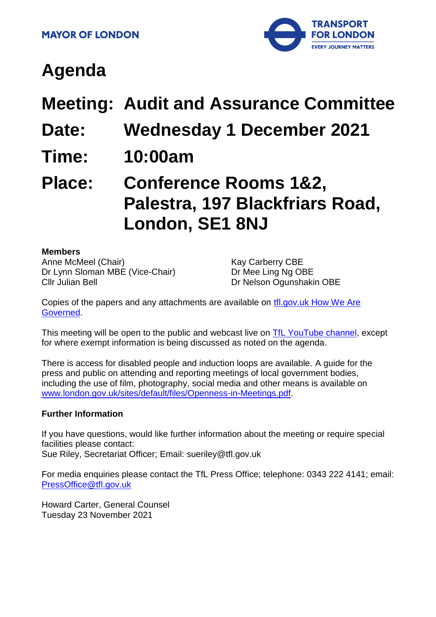

# **Agenda**

**Meeting: Audit and Assurance Committee**

- **Date: Wednesday 1 December 2021**
- **Time: 10:00am**

## **Place: Conference Rooms 1&2, Palestra, 197 Blackfriars Road, London, SE1 8NJ**

#### **Members**

Anne McMeel (Chair) Dr Lynn Sloman MBE (Vice-Chair) Cllr Julian Bell

Kay Carberry CBE Dr Mee Ling Ng OBE Dr Nelson Ogunshakin OBE

Copies of the papers and any attachments are available on [tfl.gov.uk How We Are](http://www.tfl.gov.uk/corporate/about-tfl/how-we-work/how-we-are-governed)  [Governed.](http://www.tfl.gov.uk/corporate/about-tfl/how-we-work/how-we-are-governed)

This meeting will be open to the public and webcast live on [TfL YouTube channel,](https://www.youtube.com/watch?v=_2U9viPQ9WE&list=PLtnlusA0Zoggk4qvN68OcnD9k_7B8cY_d) except for where exempt information is being discussed as noted on the agenda.

There is access for disabled people and induction loops are available. A guide for the press and public on attending and reporting meetings of local government bodies, including the use of film, photography, social media and other means is available on [www.london.gov.uk/sites/default/files/Openness-in-Meetings.pdf.](http://www.london.gov.uk/sites/default/files/Openness-in-Meetings.pdf)

#### **Further Information**

If you have questions, would like further information about the meeting or require special facilities please contact: Sue Riley, Secretariat Officer; Email: sueriley@tfl.gov.uk

For media enquiries please contact the TfL Press Office; telephone: 0343 222 4141; email: [PressOffice@tfl.gov.uk](mailto:PressOffice@tfl.gov.uk)

Howard Carter, General Counsel Tuesday 23 November 2021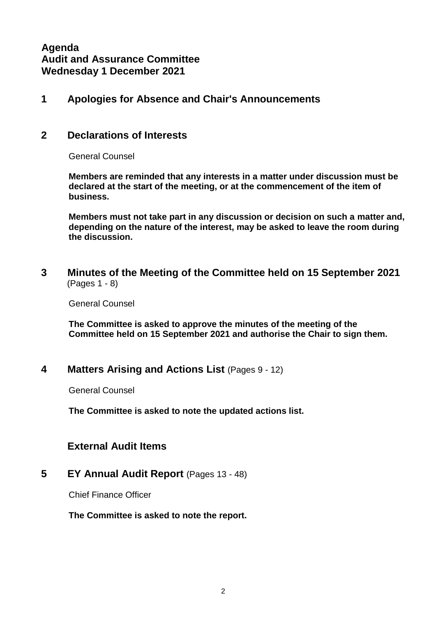**Agenda Audit and Assurance Committee Wednesday 1 December 2021**

## **1 Apologies for Absence and Chair's Announcements**

### **2 Declarations of Interests**

General Counsel

**Members are reminded that any interests in a matter under discussion must be declared at the start of the meeting, or at the commencement of the item of business.** 

**Members must not take part in any discussion or decision on such a matter and, depending on the nature of the interest, may be asked to leave the room during the discussion.**

**3 Minutes of the Meeting of the Committee held on 15 September 2021** (Pages 1 - 8)

General Counsel

**The Committee is asked to approve the minutes of the meeting of the Committee held on 15 September 2021 and authorise the Chair to sign them.**

## **4 Matters Arising and Actions List** (Pages 9 - 12)

General Counsel

**The Committee is asked to note the updated actions list.**

## **External Audit Items**

#### **5 EY Annual Audit Report** (Pages 13 - 48)

Chief Finance Officer

#### **The Committee is asked to note the report.**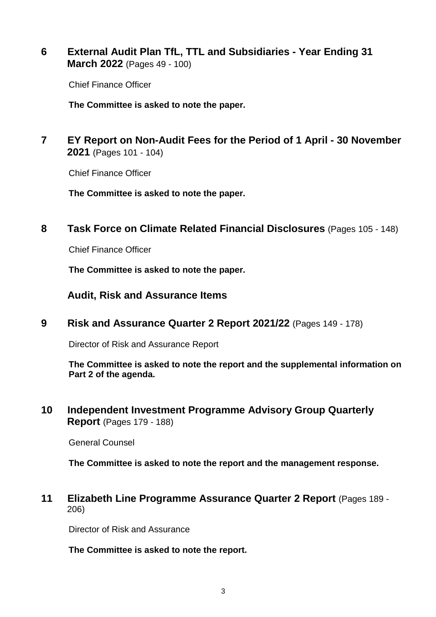**6 External Audit Plan TfL, TTL and Subsidiaries - Year Ending 31 March 2022** (Pages 49 - 100)

Chief Finance Officer

**The Committee is asked to note the paper.**

**7 EY Report on Non-Audit Fees for the Period of 1 April - 30 November 2021** (Pages 101 - 104)

Chief Finance Officer

**The Committee is asked to note the paper.**

**8 Task Force on Climate Related Financial Disclosures** (Pages 105 - 148)

Chief Finance Officer

**The Committee is asked to note the paper.**

**Audit, Risk and Assurance Items**

**9 Risk and Assurance Quarter 2 Report 2021/22** (Pages 149 - 178)

Director of Risk and Assurance Report

**The Committee is asked to note the report and the supplemental information on Part 2 of the agenda.**

**10 Independent Investment Programme Advisory Group Quarterly Report** (Pages 179 - 188)

General Counsel

**The Committee is asked to note the report and the management response.**

**11 Elizabeth Line Programme Assurance Quarter 2 Report** (Pages 189 - 206)

Director of Risk and Assurance

**The Committee is asked to note the report.**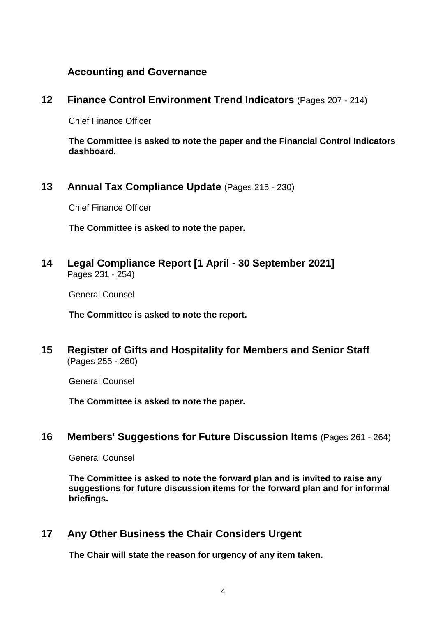## **Accounting and Governance**

## **12 Finance Control Environment Trend Indicators** (Pages 207 - 214)

Chief Finance Officer

**The Committee is asked to note the paper and the Financial Control Indicators dashboard.**

**13 Annual Tax Compliance Update** (Pages 215 - 230)

Chief Finance Officer

**The Committee is asked to note the paper.**

**14 Legal Compliance Report [1 April - 30 September 2021]** Pages 231 - 254)

General Counsel

**The Committee is asked to note the report.**

**15 Register of Gifts and Hospitality for Members and Senior Staff** (Pages 255 - 260)

General Counsel

**The Committee is asked to note the paper.**

## **16 Members' Suggestions for Future Discussion Items** (Pages 261 - 264)

General Counsel

**The Committee is asked to note the forward plan and is invited to raise any suggestions for future discussion items for the forward plan and for informal briefings.**

## **17 Any Other Business the Chair Considers Urgent**

**The Chair will state the reason for urgency of any item taken.**